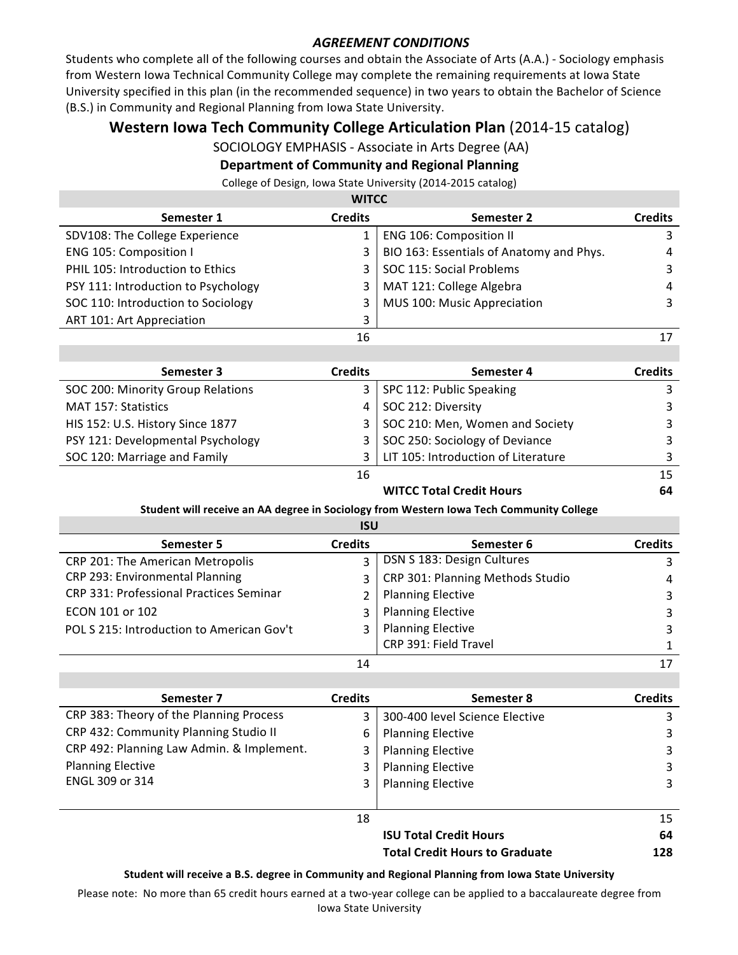## **AGREEMENT CONDITIONS**

Students who complete all of the following courses and obtain the Associate of Arts (A.A.) - Sociology emphasis from Western Iowa Technical Community College may complete the remaining requirements at Iowa State University specified in this plan (in the recommended sequence) in two years to obtain the Bachelor of Science (B.S.) in Community and Regional Planning from Iowa State University.

# **Western Iowa Tech Community College Articulation Plan** (2014-15 catalog)

SOCIOLOGY EMPHASIS - Associate in Arts Degree (AA)

## **Department of Community and Regional Planning**

College of Design, Iowa State University (2014-2015 catalog)

| <b>WITCC</b>                        |                |                                          |                |  |
|-------------------------------------|----------------|------------------------------------------|----------------|--|
| Semester 1                          | <b>Credits</b> | Semester 2                               | <b>Credits</b> |  |
| SDV108: The College Experience      |                | <b>ENG 106: Composition II</b>           |                |  |
| ENG 105: Composition I              | 3              | BIO 163: Essentials of Anatomy and Phys. | 4              |  |
| PHIL 105: Introduction to Ethics    |                | SOC 115: Social Problems                 | 3              |  |
| PSY 111: Introduction to Psychology |                | MAT 121: College Algebra                 | 4              |  |
| SOC 110: Introduction to Sociology  |                | MUS 100: Music Appreciation              | 3              |  |
| ART 101: Art Appreciation           | 3              |                                          |                |  |
|                                     | 16             |                                          | 17             |  |
|                                     |                |                                          |                |  |

| Semester 3                        | <b>Credits</b> | Semester 4                          | <b>Credits</b> |
|-----------------------------------|----------------|-------------------------------------|----------------|
| SOC 200: Minority Group Relations |                | 3   SPC 112: Public Speaking        |                |
| MAT 157: Statistics               |                | SOC 212: Diversity                  |                |
| HIS 152: U.S. History Since 1877  |                | 3   SOC 210: Men, Women and Society |                |
| PSY 121: Developmental Psychology |                | 3   SOC 250: Sociology of Deviance  |                |
| SOC 120: Marriage and Family      | 3              | LIT 105: Introduction of Literature |                |
|                                   | 16             |                                     |                |

## **WITCC Total Credit Hours** 64

#### Student will receive an AA degree in Sociology from Western Iowa Tech Community College

| <b>ISU</b>                                |                |                                  |                |
|-------------------------------------------|----------------|----------------------------------|----------------|
| Semester 5                                | <b>Credits</b> | Semester 6                       | <b>Credits</b> |
| CRP 201: The American Metropolis          | $\mathbf{R}$   | DSN S 183: Design Cultures       |                |
| CRP 293: Environmental Planning           | 3              | CRP 301: Planning Methods Studio | 4              |
| CRP 331: Professional Practices Seminar   |                | <b>Planning Elective</b>         | 3              |
| ECON 101 or 102                           | $\mathbf{3}$   | <b>Planning Elective</b>         |                |
| POL S 215: Introduction to American Gov't |                | <b>Planning Elective</b>         |                |
|                                           |                | CRP 391: Field Travel            |                |
|                                           | 14             |                                  |                |

| Semester 7                                | <b>Credits</b> | Semester 8                            | <b>Credits</b> |
|-------------------------------------------|----------------|---------------------------------------|----------------|
| CRP 383: Theory of the Planning Process   | 3              | 300-400 level Science Elective        |                |
| CRP 432: Community Planning Studio II     | 6              | <b>Planning Elective</b>              | 3              |
| CRP 492: Planning Law Admin. & Implement. | 3              | <b>Planning Elective</b>              | 3              |
| <b>Planning Elective</b>                  |                | <b>Planning Elective</b>              | 3              |
| ENGL 309 or 314                           | 3.             | <b>Planning Elective</b>              | 3              |
|                                           |                |                                       |                |
|                                           | 18             |                                       | 15             |
|                                           |                | <b>ISU Total Credit Hours</b>         | 64             |
|                                           |                | <b>Total Credit Hours to Graduate</b> | 128            |

#### Student will receive a B.S. degree in Community and Regional Planning from Iowa State University

Please note: No more than 65 credit hours earned at a two-year college can be applied to a baccalaureate degree from Iowa State University